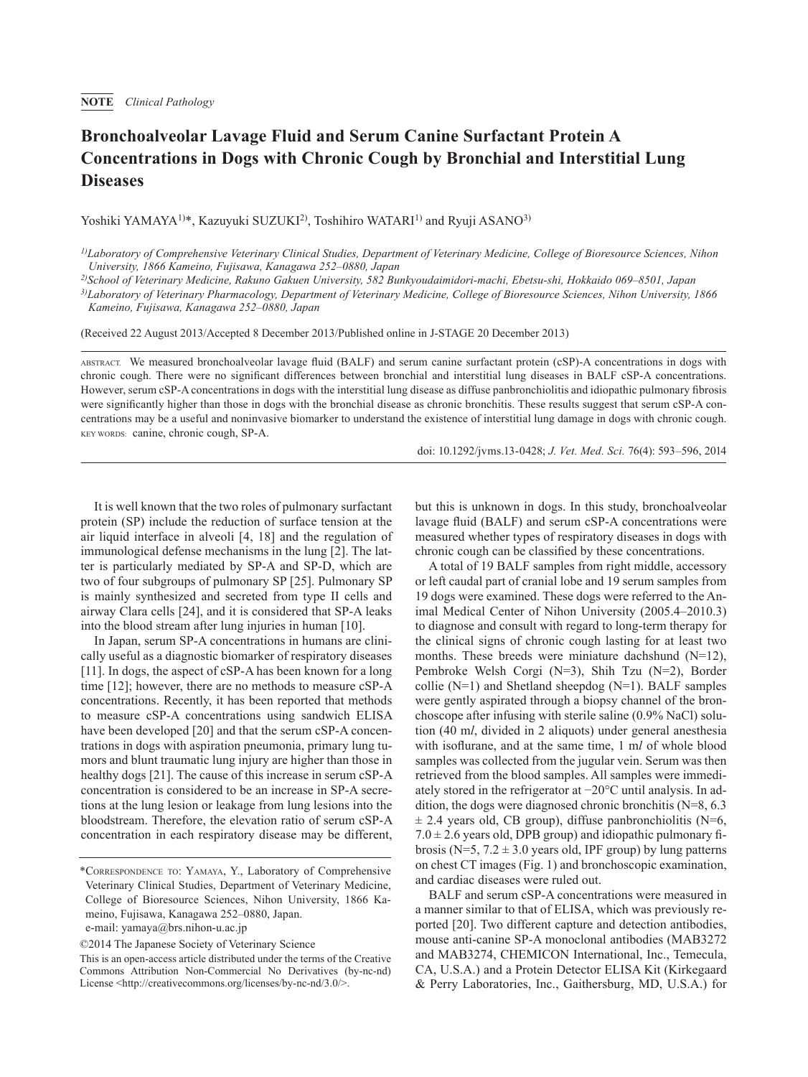## **Bronchoalveolar Lavage Fluid and Serum Canine Surfactant Protein A Concentrations in Dogs with Chronic Cough by Bronchial and Interstitial Lung Diseases**

Yoshiki YAMAYA<sup>1)\*</sup>, Kazuyuki SUZUKI<sup>2)</sup>, Toshihiro WATARI<sup>1)</sup> and Ryuji ASANO<sup>3)</sup>

*2)School of Veterinary Medicine, Rakuno Gakuen University, 582 Bunkyoudaimidori-machi, Ebetsu-shi, Hokkaido 069–8501, Japan*

*3)Laboratory of Veterinary Pharmacology, Department of Veterinary Medicine, College of Bioresource Sciences, Nihon University, 1866 Kameino, Fujisawa, Kanagawa 252–0880, Japan*

(Received 22 August 2013/Accepted 8 December 2013/Published online in J-STAGE 20 December 2013)

ABSTRACT. We measured bronchoalveolar lavage fluid (BALF) and serum canine surfactant protein (cSP)-A concentrations in dogs with chronic cough. There were no significant differences between bronchial and interstitial lung diseases in BALF cSP-A concentrations. However, serum cSP-A concentrations in dogs with the interstitial lung disease as diffuse panbronchiolitis and idiopathic pulmonary fibrosis were significantly higher than those in dogs with the bronchial disease as chronic bronchitis. These results suggest that serum cSP-A concentrations may be a useful and noninvasive biomarker to understand the existence of interstitial lung damage in dogs with chronic cough. KEY WORDS: canine, chronic cough, SP-A.

doi: 10.1292/jvms.13-0428; *J. Vet. Med. Sci.* 76(4): 593–596, 2014

It is well known that the two roles of pulmonary surfactant protein (SP) include the reduction of surface tension at the air liquid interface in alveoli [4, [18\]](#page-2-0) and the regulation of immunological defense mechanisms in the lung [[2\]](#page-2-1). The latter is particularly mediated by SP-A and SP-D, which are two of four subgroups of pulmonary SP [[25\]](#page-3-0). Pulmonary SP is mainly synthesized and secreted from type II cells and airway Clara cells [[24](#page-3-1)], and it is considered that SP-A leaks into the blood stream after lung injuries in human [\[10\]](#page-2-2).

In Japan, serum SP-A concentrations in humans are clinically useful as a diagnostic biomarker of respiratory diseases [[11\]](#page-2-3). In dogs, the aspect of cSP-A has been known for a long time [\[12\]](#page-2-4); however, there are no methods to measure cSP-A concentrations. Recently, it has been reported that methods to measure cSP-A concentrations using sandwich ELISA have been developed [[20](#page-2-5)] and that the serum cSP-A concentrations in dogs with aspiration pneumonia, primary lung tumors and blunt traumatic lung injury are higher than those in healthy dogs [\[21\]](#page-3-2). The cause of this increase in serum cSP-A concentration is considered to be an increase in SP-A secretions at the lung lesion or leakage from lung lesions into the bloodstream. Therefore, the elevation ratio of serum cSP-A concentration in each respiratory disease may be different, but this is unknown in dogs. In this study, bronchoalveolar lavage fluid (BALF) and serum cSP-A concentrations were measured whether types of respiratory diseases in dogs with chronic cough can be classified by these concentrations.

A total of 19 BALF samples from right middle, accessory or left caudal part of cranial lobe and 19 serum samples from 19 dogs were examined. These dogs were referred to the Animal Medical Center of Nihon University (2005.4–2010.3) to diagnose and consult with regard to long-term therapy for the clinical signs of chronic cough lasting for at least two months. These breeds were miniature dachshund (N=12), Pembroke Welsh Corgi (N=3), Shih Tzu (N=2), Border collie  $(N=1)$  and Shetland sheepdog  $(N=1)$ . BALF samples were gently aspirated through a biopsy channel of the bronchoscope after infusing with sterile saline (0.9% NaCl) solution (40 m*l*, divided in 2 aliquots) under general anesthesia with isoflurane, and at the same time, 1 m*l* of whole blood samples was collected from the jugular vein. Serum was then retrieved from the blood samples. All samples were immediately stored in the refrigerator at −20°C until analysis. In addition, the dogs were diagnosed chronic bronchitis (N=8, 6.3  $\pm$  2.4 years old, CB group), diffuse panbronchiolitis (N=6,  $7.0 \pm 2.6$  years old, DPB group) and idiopathic pulmonary fibrosis (N=5,  $7.2 \pm 3.0$  years old, IPF group) by lung patterns on chest CT images (Fig. 1) and bronchoscopic examination, and cardiac diseases were ruled out.

BALF and serum cSP-A concentrations were measured in a manner similar to that of ELISA, which was previously reported [\[20](#page-2-5)]. Two different capture and detection antibodies, mouse anti-canine SP-A monoclonal antibodies (MAB3272 and MAB3274, CHEMICON International, Inc., Temecula, CA, U.S.A.) and a Protein Detector ELISA Kit (Kirkegaard & Perry Laboratories, Inc., Gaithersburg, MD, U.S.A.) for

*<sup>1)</sup>Laboratory of Comprehensive Veterinary Clinical Studies, Department of Veterinary Medicine, College of Bioresource Sciences, Nihon University, 1866 Kameino, Fujisawa, Kanagawa 252–0880, Japan*

<sup>\*</sup>Correspondence to: Yamaya, Y., Laboratory of Comprehensive Veterinary Clinical Studies, Department of Veterinary Medicine, College of Bioresource Sciences, Nihon University, 1866 Kameino, Fujisawa, Kanagawa 252–0880, Japan.

e-mail: yamaya@brs.nihon-u.ac.jp

<sup>©2014</sup> The Japanese Society of Veterinary Science

This is an open-access article distributed under the terms of the Creative Commons Attribution Non-Commercial No Derivatives (by-nc-nd) License [<http://creativecommons.org/licenses/by-nc-nd/3.0/](http://creativecommons.org/licenses/by-nc-nd/3.0/)>.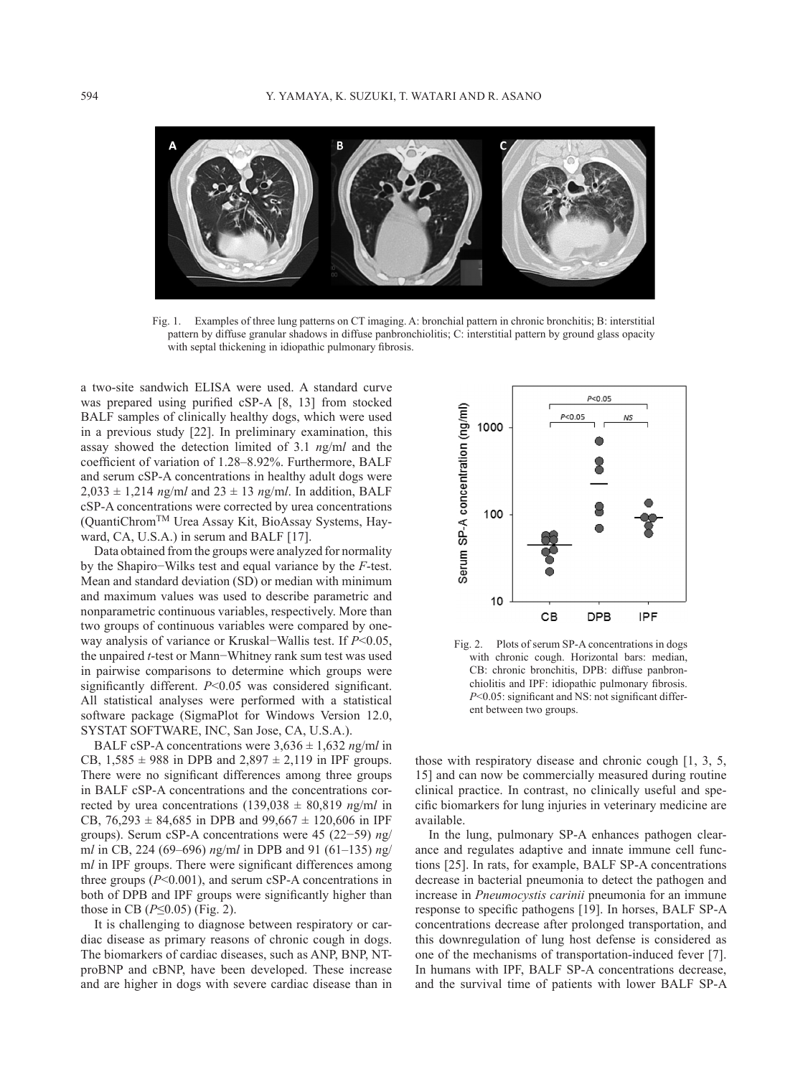

Fig. 1. Examples of three lung patterns on CT imaging. A: bronchial pattern in chronic bronchitis; B: interstitial pattern by diffuse granular shadows in diffuse panbronchiolitis; C: interstitial pattern by ground glass opacity with septal thickening in idiopathic pulmonary fibrosis.

a two-site sandwich ELISA were used. A standard curve was prepared using purified cSP-A [8, [13](#page-2-6)] from stocked BALF samples of clinically healthy dogs, which were used in a previous study [\[22\]](#page-3-3). In preliminary examination, this assay showed the detection limited of 3.1 *n*g/m*l* and the coefficient of variation of 1.28–8.92%. Furthermore, BALF and serum cSP-A concentrations in healthy adult dogs were  $2.033 \pm 1.214$  *ng/ml* and  $23 \pm 13$  *ng/ml*. In addition, BALF cSP-A concentrations were corrected by urea concentrations (QuantiChromTM Urea Assay Kit, BioAssay Systems, Hayward, CA, U.S.A.) in serum and BALF [[17](#page-2-7)].

Data obtained from the groups were analyzed for normality by the Shapiro−Wilks test and equal variance by the *F*-test. Mean and standard deviation (SD) or median with minimum and maximum values was used to describe parametric and nonparametric continuous variables, respectively. More than two groups of continuous variables were compared by oneway analysis of variance or Kruskal−Wallis test. If *P*<0.05, the unpaired *t*-test or Mann−Whitney rank sum test was used in pairwise comparisons to determine which groups were significantly different. *P*<0.05 was considered significant. All statistical analyses were performed with a statistical software package (SigmaPlot for Windows Version 12.0, SYSTAT SOFTWARE, INC, San Jose, CA, U.S.A.).

BALF cSP-A concentrations were  $3,636 \pm 1,632$  *ng/ml* in CB,  $1,585 \pm 988$  in DPB and  $2,897 \pm 2,119$  in IPF groups. There were no significant differences among three groups in BALF cSP-A concentrations and the concentrations corrected by urea concentrations  $(139,038 \pm 80,819 \text{ ng/ml in})$ CB,  $76,293 \pm 84,685$  in DPB and  $99,667 \pm 120,606$  in IPF groups). Serum cSP-A concentrations were 45 (22−59) *n*g/ m*l* in CB, 224 (69–696) *n*g/m*l* in DPB and 91 (61–135) *n*g/ m*l* in IPF groups. There were significant differences among three groups (*P*<0.001), and serum cSP-A concentrations in both of DPB and IPF groups were significantly higher than those in CB (*P*≤0.05) (Fig. 2).

It is challenging to diagnose between respiratory or cardiac disease as primary reasons of chronic cough in dogs. The biomarkers of cardiac diseases, such as ANP, BNP, NTproBNP and cBNP, have been developed. These increase and are higher in dogs with severe cardiac disease than in



Fig. 2. Plots of serum SP-A concentrations in dogs with chronic cough. Horizontal bars: median, CB: chronic bronchitis, DPB: diffuse panbronchiolitis and IPF: idiopathic pulmonary fibrosis. *P*<0.05: significant and NS: not significant different between two groups.

those with respiratory disease and chronic cough [[1,](#page-2-8) 3, 5, [15\]](#page-2-8) and can now be commercially measured during routine clinical practice. In contrast, no clinically useful and specific biomarkers for lung injuries in veterinary medicine are available.

In the lung, pulmonary SP-A enhances pathogen clearance and regulates adaptive and innate immune cell functions [[25](#page-3-0)]. In rats, for example, BALF SP-A concentrations decrease in bacterial pneumonia to detect the pathogen and increase in *Pneumocystis carinii* pneumonia for an immune response to specific pathogens [[19](#page-2-9)]. In horses, BALF SP-A concentrations decrease after prolonged transportation, and this downregulation of lung host defense is considered as one of the mechanisms of transportation-induced fever [\[7](#page-2-10)]. In humans with IPF, BALF SP-A concentrations decrease, and the survival time of patients with lower BALF SP-A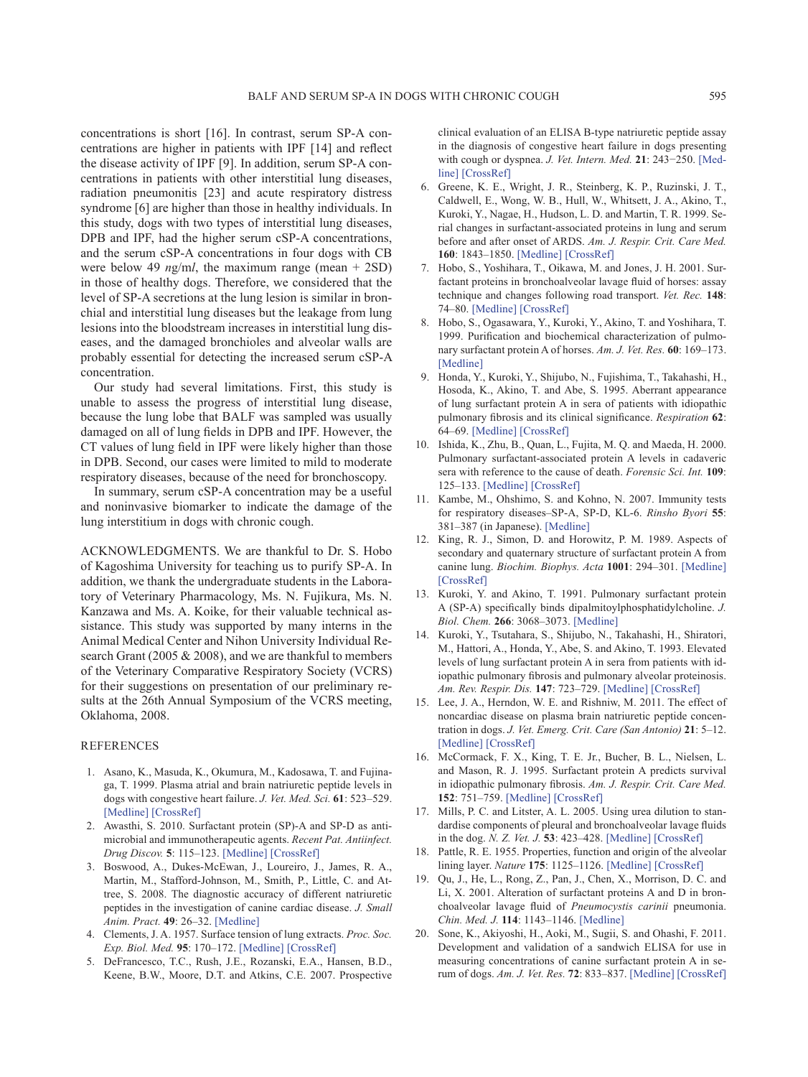concentrations is short [[16](#page-2-11)]. In contrast, serum SP-A concentrations are higher in patients with IPF [\[14\]](#page-2-12) and reflect the disease activity of IPF [[9](#page-2-13)]. In addition, serum SP-A concentrations in patients with other interstitial lung diseases, radiation pneumonitis [\[23\]](#page-3-4) and acute respiratory distress syndrome [[6](#page-2-14)] are higher than those in healthy individuals. In this study, dogs with two types of interstitial lung diseases, DPB and IPF, had the higher serum cSP-A concentrations, and the serum cSP-A concentrations in four dogs with CB were below 49 *n*g/m*l*, the maximum range (mean + 2SD) in those of healthy dogs. Therefore, we considered that the level of SP-A secretions at the lung lesion is similar in bronchial and interstitial lung diseases but the leakage from lung lesions into the bloodstream increases in interstitial lung diseases, and the damaged bronchioles and alveolar walls are probably essential for detecting the increased serum cSP-A concentration.

Our study had several limitations. First, this study is unable to assess the progress of interstitial lung disease, because the lung lobe that BALF was sampled was usually damaged on all of lung fields in DPB and IPF. However, the CT values of lung field in IPF were likely higher than those in DPB. Second, our cases were limited to mild to moderate respiratory diseases, because of the need for bronchoscopy.

In summary, serum cSP-A concentration may be a useful and noninvasive biomarker to indicate the damage of the lung interstitium in dogs with chronic cough.

ACKNOWLEDGMENTS. We are thankful to Dr. S. Hobo of Kagoshima University for teaching us to purify SP-A. In addition, we thank the undergraduate students in the Laboratory of Veterinary Pharmacology, Ms. N. Fujikura, Ms. N. Kanzawa and Ms. A. Koike, for their valuable technical assistance. This study was supported by many interns in the Animal Medical Center and Nihon University Individual Research Grant (2005 & 2008), and we are thankful to members of the Veterinary Comparative Respiratory Society (VCRS) for their suggestions on presentation of our preliminary results at the 26th Annual Symposium of the VCRS meeting, Oklahoma, 2008.

## REFERENCES

- <span id="page-2-8"></span> 1. Asano, K., Masuda, K., Okumura, M., Kadosawa, T. and Fujinaga, T. 1999. Plasma atrial and brain natriuretic peptide levels in dogs with congestive heart failure. *J. Vet. Med. Sci.* **61**: 523–529. [\[Medline\]](http://www.ncbi.nlm.nih.gov/pubmed/10379945?dopt=Abstract) [\[CrossRef\]](http://dx.doi.org/10.1292/jvms.61.523)
- <span id="page-2-1"></span>2. Awasthi, S. 2010. Surfactant protein (SP)-A and SP-D as antimicrobial and immunotherapeutic agents. *Recent Pat. Antiinfect. Drug Discov.* **5**: 115–123. [\[Medline\]](http://www.ncbi.nlm.nih.gov/pubmed/20230362?dopt=Abstract) [\[CrossRef\]](http://dx.doi.org/10.2174/157489110791233559)
- 3. Boswood, A., Dukes-McEwan, J., Loureiro, J., James, R. A., Martin, M., Stafford-Johnson, M., Smith, P., Little, C. and Attree, S. 2008. The diagnostic accuracy of different natriuretic peptides in the investigation of canine cardiac disease. *J. Small Anim. Pract.* **49**: 26–32. [\[Medline\]](http://www.ncbi.nlm.nih.gov/pubmed/18005104?dopt=Abstract)
- <span id="page-2-0"></span> 4. Clements, J. A. 1957. Surface tension of lung extracts. *Proc. Soc. Exp. Biol. Med.* **95**: 170–172. [\[Medline\]](http://www.ncbi.nlm.nih.gov/pubmed/13432025?dopt=Abstract) [\[CrossRef\]](http://dx.doi.org/10.3181/00379727-95-23156)
- 5. DeFrancesco, T.C., Rush, J.E., Rozanski, E.A., Hansen, B.D., Keene, B.W., Moore, D.T. and Atkins, C.E. 2007. Prospective

clinical evaluation of an ELISA B-type natriuretic peptide assay in the diagnosis of congestive heart failure in dogs presenting with cough or dyspnea. *J. Vet. Intern. Med.* **21**: 243−250. [\[Med](http://www.ncbi.nlm.nih.gov/pubmed/17427384?dopt=Abstract)[line\]](http://www.ncbi.nlm.nih.gov/pubmed/17427384?dopt=Abstract) [\[CrossRef\]](http://dx.doi.org/10.1111/j.1939-1676.2007.tb02956.x)

- <span id="page-2-14"></span>6. Greene, K. E., Wright, J. R., Steinberg, K. P., Ruzinski, J. T., Caldwell, E., Wong, W. B., Hull, W., Whitsett, J. A., Akino, T., Kuroki, Y., Nagae, H., Hudson, L. D. and Martin, T. R. 1999. Serial changes in surfactant-associated proteins in lung and serum before and after onset of ARDS. *Am. J. Respir. Crit. Care Med.* **160**: 1843–1850. [\[Medline\]](http://www.ncbi.nlm.nih.gov/pubmed/10588595?dopt=Abstract) [\[CrossRef\]](http://dx.doi.org/10.1164/ajrccm.160.6.9901117)
- <span id="page-2-10"></span> 7. Hobo, S., Yoshihara, T., Oikawa, M. and Jones, J. H. 2001. Surfactant proteins in bronchoalveolar lavage fluid of horses: assay technique and changes following road transport. *Vet. Rec.* **148**: 74–80. [\[Medline\]](http://www.ncbi.nlm.nih.gov/pubmed/12503595?dopt=Abstract) [\[CrossRef\]](http://dx.doi.org/10.1136/vr.148.3.74)
- <span id="page-2-6"></span> 8. Hobo, S., Ogasawara, Y., Kuroki, Y., Akino, T. and Yoshihara, T. 1999. Purification and biochemical characterization of pulmonary surfactant protein A of horses. *Am. J. Vet. Res.* **60**: 169–173. [\[Medline\]](http://www.ncbi.nlm.nih.gov/pubmed/10048546?dopt=Abstract)
- <span id="page-2-13"></span> 9. Honda, Y., Kuroki, Y., Shijubo, N., Fujishima, T., Takahashi, H., Hosoda, K., Akino, T. and Abe, S. 1995. Aberrant appearance of lung surfactant protein A in sera of patients with idiopathic pulmonary fibrosis and its clinical significance. *Respiration* **62**: 64–69. [\[Medline\]](http://www.ncbi.nlm.nih.gov/pubmed/7784711?dopt=Abstract) [\[CrossRef\]](http://dx.doi.org/10.1159/000196393)
- <span id="page-2-2"></span> 10. Ishida, K., Zhu, B., Quan, L., Fujita, M. Q. and Maeda, H. 2000. Pulmonary surfactant-associated protein A levels in cadaveric sera with reference to the cause of death. *Forensic Sci. Int.* **109**: 125–133. [\[Medline\]](http://www.ncbi.nlm.nih.gov/pubmed/10704815?dopt=Abstract) [\[CrossRef\]](http://dx.doi.org/10.1016/S0379-0738(99)00228-5)
- <span id="page-2-3"></span>11. Kambe, M., Ohshimo, S. and Kohno, N. 2007. Immunity tests for respiratory diseases–SP-A, SP-D, KL-6. *Rinsho Byori* **55**: 381–387 (in Japanese). [\[Medline\]](http://www.ncbi.nlm.nih.gov/pubmed/17511270?dopt=Abstract)
- <span id="page-2-4"></span>12. King, R. J., Simon, D. and Horowitz, P. M. 1989. Aspects of secondary and quaternary structure of surfactant protein A from canine lung. *Biochim. Biophys. Acta* **1001**: 294–301. [\[Medline\]](http://www.ncbi.nlm.nih.gov/pubmed/2917154?dopt=Abstract) [\[CrossRef\]](http://dx.doi.org/10.1016/0005-2760(89)90114-8)
- 13. Kuroki, Y. and Akino, T. 1991. Pulmonary surfactant protein A (SP-A) specifically binds dipalmitoylphosphatidylcholine. *J. Biol. Chem.* **266**: 3068–3073. [\[Medline\]](http://www.ncbi.nlm.nih.gov/pubmed/1993679?dopt=Abstract)
- <span id="page-2-12"></span>14. Kuroki, Y., Tsutahara, S., Shijubo, N., Takahashi, H., Shiratori, M., Hattori, A., Honda, Y., Abe, S. and Akino, T. 1993. Elevated levels of lung surfactant protein A in sera from patients with idiopathic pulmonary fibrosis and pulmonary alveolar proteinosis. *Am. Rev. Respir. Dis.* **147**: 723–729. [\[Medline\]](http://www.ncbi.nlm.nih.gov/pubmed/8442609?dopt=Abstract) [\[CrossRef\]](http://dx.doi.org/10.1164/ajrccm/147.3.723)
- 15. Lee, J. A., Herndon, W. E. and Rishniw, M. 2011. The effect of noncardiac disease on plasma brain natriuretic peptide concentration in dogs. *J. Vet. Emerg. Crit. Care (San Antonio)* **21**: 5–12. [\[Medline\]](http://www.ncbi.nlm.nih.gov/pubmed/21288288?dopt=Abstract) [\[CrossRef\]](http://dx.doi.org/10.1111/j.1476-4431.2010.00605.x)
- <span id="page-2-11"></span> 16. McCormack, F. X., King, T. E. Jr., Bucher, B. L., Nielsen, L. and Mason, R. J. 1995. Surfactant protein A predicts survival in idiopathic pulmonary fibrosis. *Am. J. Respir. Crit. Care Med.* **152**: 751–759. [\[Medline\]](http://www.ncbi.nlm.nih.gov/pubmed/7633738?dopt=Abstract) [\[CrossRef\]](http://dx.doi.org/10.1164/ajrccm.152.2.7633738)
- <span id="page-2-7"></span>17. Mills, P. C. and Litster, A. L. 2005. Using urea dilution to standardise components of pleural and bronchoalveolar lavage fluids in the dog. *N. Z. Vet. J.* **53**: 423–428. [\[Medline\]](http://www.ncbi.nlm.nih.gov/pubmed/16317443?dopt=Abstract) [\[CrossRef\]](http://dx.doi.org/10.1080/00480169.2005.36587)
- 18. Pattle, R. E. 1955. Properties, function and origin of the alveolar lining layer. *Nature* **175**: 1125–1126. [\[Medline\]](http://www.ncbi.nlm.nih.gov/pubmed/14394123?dopt=Abstract) [\[CrossRef\]](http://dx.doi.org/10.1038/1751125b0)
- <span id="page-2-9"></span> 19. Qu, J., He, L., Rong, Z., Pan, J., Chen, X., Morrison, D. C. and Li, X. 2001. Alteration of surfactant proteins A and D in bronchoalveolar lavage fluid of *Pneumocystis carinii* pneumonia. *Chin. Med. J.* **114**: 1143–1146. [\[Medline\]](http://www.ncbi.nlm.nih.gov/pubmed/11729507?dopt=Abstract)
- <span id="page-2-5"></span> 20. Sone, K., Akiyoshi, H., Aoki, M., Sugii, S. and Ohashi, F. 2011. Development and validation of a sandwich ELISA for use in measuring concentrations of canine surfactant protein A in serum of dogs. *Am. J. Vet. Res.* **72**: 833–837. [\[Medline\]](http://www.ncbi.nlm.nih.gov/pubmed/21627531?dopt=Abstract) [\[CrossRef\]](http://dx.doi.org/10.2460/ajvr.72.6.833)